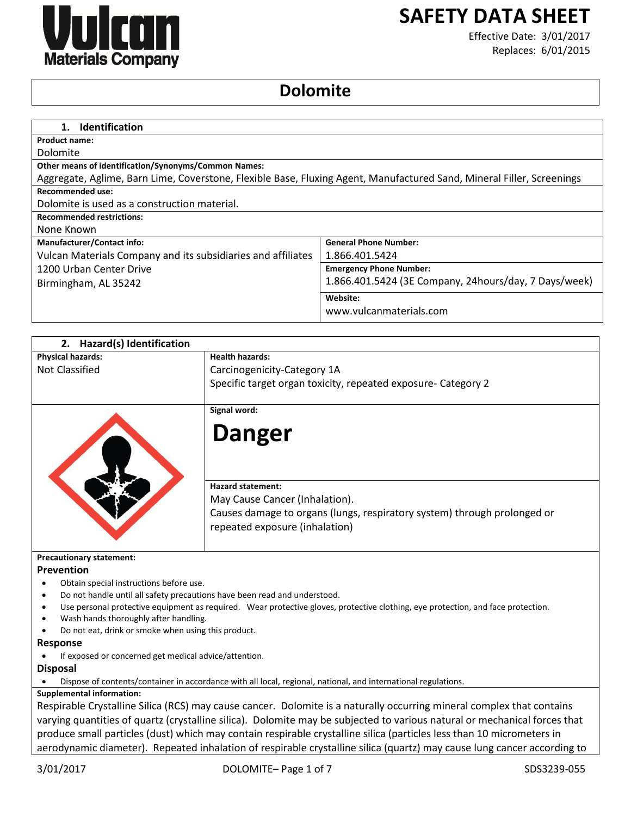

# **SAFETY DATA SHEET**

Effective Date: 3/01/2017 Replaces: 6/01/2015

# **Dolomite**

| 1. Identification                                                                                                     |                                                       |
|-----------------------------------------------------------------------------------------------------------------------|-------------------------------------------------------|
| Product name:                                                                                                         |                                                       |
| Dolomite                                                                                                              |                                                       |
| <b>Other means of identification/Synonyms/Common Names:</b>                                                           |                                                       |
| Aggregate, Aglime, Barn Lime, Coverstone, Flexible Base, Fluxing Agent, Manufactured Sand, Mineral Filler, Screenings |                                                       |
| Recommended use:                                                                                                      |                                                       |
| Dolomite is used as a construction material.                                                                          |                                                       |
| <b>Recommended restrictions:</b>                                                                                      |                                                       |
| None Known                                                                                                            |                                                       |
| <b>Manufacturer/Contact info:</b>                                                                                     | <b>General Phone Number:</b>                          |
| Vulcan Materials Company and its subsidiaries and affiliates                                                          | 1.866.401.5424                                        |
| 1200 Urban Center Drive                                                                                               | <b>Emergency Phone Number:</b>                        |
| Birmingham, AL 35242                                                                                                  | 1.866.401.5424 (3E Company, 24hours/day, 7 Days/week) |
|                                                                                                                       | Website:                                              |
|                                                                                                                       | www.vulcanmaterials.com                               |
|                                                                                                                       |                                                       |

| 2.<br>Hazard(s) Identification          |                                                                                                                                  |
|-----------------------------------------|----------------------------------------------------------------------------------------------------------------------------------|
| <b>Physical hazards:</b>                | <b>Health hazards:</b>                                                                                                           |
| <b>Not Classified</b>                   | Carcinogenicity-Category 1A                                                                                                      |
|                                         | Specific target organ toxicity, repeated exposure- Category 2                                                                    |
|                                         | Signal word:                                                                                                                     |
|                                         | <b>Danger</b>                                                                                                                    |
|                                         | <b>Hazard statement:</b><br>May Cause Cancer (Inhalation).                                                                       |
|                                         | Causes damage to organs (lungs, respiratory system) through prolonged or<br>repeated exposure (inhalation)                       |
| <b>Precautionary statement:</b>         |                                                                                                                                  |
| Prevention                              |                                                                                                                                  |
| Obtain special instructions before use. |                                                                                                                                  |
|                                         | Do not handle until all safety precautions have been read and understood.                                                        |
|                                         | Use personal protective equipment as required. Wear protective gloves, protective clothing, eye protection, and face protection. |
| Wash hands thoroughly after handling.   |                                                                                                                                  |
|                                         | Do not eat, drink or smoke when using this product.                                                                              |
| <b>Response</b>                         |                                                                                                                                  |
|                                         | If exposed or concerned get medical advice/attention.                                                                            |
| <b>Disposal</b>                         |                                                                                                                                  |
|                                         | Dispose of contents/container in accordance with all local, regional, national, and international regulations.                   |
| <b>Supplemental information:</b>        |                                                                                                                                  |
|                                         | Respirable Crystalline Silica (RCS) may cause cancer. Dolomite is a naturally occurring mineral complex that contains            |
|                                         | . The complete of the anti-field and the second contract of the contraction of the complete second contract $\ell$ .             |

varying quantities of quartz (crystalline silica). Dolomite may be subjected to various natural or mechanical forces that produce small particles (dust) which may contain respirable crystalline silica (particles less than 10 micrometers in aerodynamic diameter). Repeated inhalation of respirable crystalline silica (quartz) may cause lung cancer according to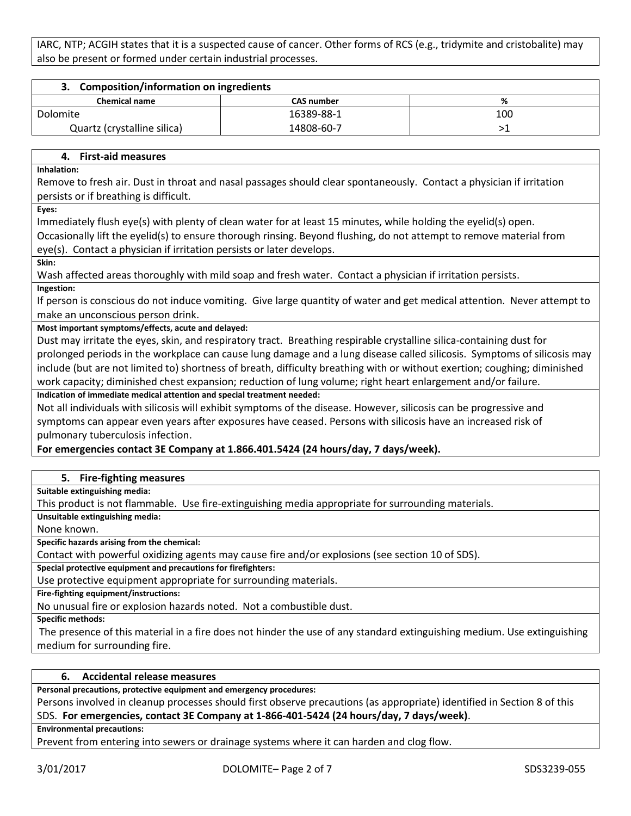IARC, NTP; ACGIH states that it is a suspected cause of cancer. Other forms of RCS (e.g., tridymite and cristobalite) may also be present or formed under certain industrial processes.

| 3. Composition/information on ingredients |                   |     |
|-------------------------------------------|-------------------|-----|
| <b>Chemical name</b>                      | <b>CAS number</b> | %   |
| Dolomite                                  | 16389-88-1        | 100 |
| Quartz (crystalline silica)               | 14808-60-7        |     |
|                                           |                   |     |

### **4. First-aid measures**

**Inhalation:**

Remove to fresh air. Dust in throat and nasal passages should clear spontaneously. Contact a physician if irritation persists or if breathing is difficult.

**Eyes:**

Immediately flush eye(s) with plenty of clean water for at least 15 minutes, while holding the eyelid(s) open.

Occasionally lift the eyelid(s) to ensure thorough rinsing. Beyond flushing, do not attempt to remove material from eye(s). Contact a physician if irritation persists or later develops.

**Skin:**

Wash affected areas thoroughly with mild soap and fresh water. Contact a physician if irritation persists.

**Ingestion:**

If person is conscious do not induce vomiting. Give large quantity of water and get medical attention. Never attempt to make an unconscious person drink.

**Most important symptoms/effects, acute and delayed:**

Dust may irritate the eyes, skin, and respiratory tract. Breathing respirable crystalline silica-containing dust for prolonged periods in the workplace can cause lung damage and a lung disease called silicosis. Symptoms of silicosis may include (but are not limited to) shortness of breath, difficulty breathing with or without exertion; coughing; diminished work capacity; diminished chest expansion; reduction of lung volume; right heart enlargement and/or failure.

**Indication of immediate medical attention and special treatment needed:**

Not all individuals with silicosis will exhibit symptoms of the disease. However, silicosis can be progressive and symptoms can appear even years after exposures have ceased. Persons with silicosis have an increased risk of pulmonary tuberculosis infection.

# **For emergencies contact 3E Company at 1.866.401.5424 (24 hours/day, 7 days/week).**

# **5. Fire-fighting measures**

**Suitable extinguishing media:**

This product is not flammable. Use fire-extinguishing media appropriate for surrounding materials.

**Unsuitable extinguishing media:**

None known.

**Specific hazards arising from the chemical:**

Contact with powerful oxidizing agents may cause fire and/or explosions (see section 10 of SDS).

**Special protective equipment and precautions for firefighters:**

Use protective equipment appropriate for surrounding materials.

**Fire-fighting equipment/instructions:**

No unusual fire or explosion hazards noted. Not a combustible dust.

**Specific methods:**

The presence of this material in a fire does not hinder the use of any standard extinguishing medium. Use extinguishing medium for surrounding fire.

# **6. Accidental release measures**

**Personal precautions, protective equipment and emergency procedures:**

Persons involved in cleanup processes should first observe precautions (as appropriate) identified in Section 8 of this SDS. **For emergencies, contact 3E Company at 1-866-401-5424 (24 hours/day, 7 days/week)**.

**Environmental precautions:**

Prevent from entering into sewers or drainage systems where it can harden and clog flow.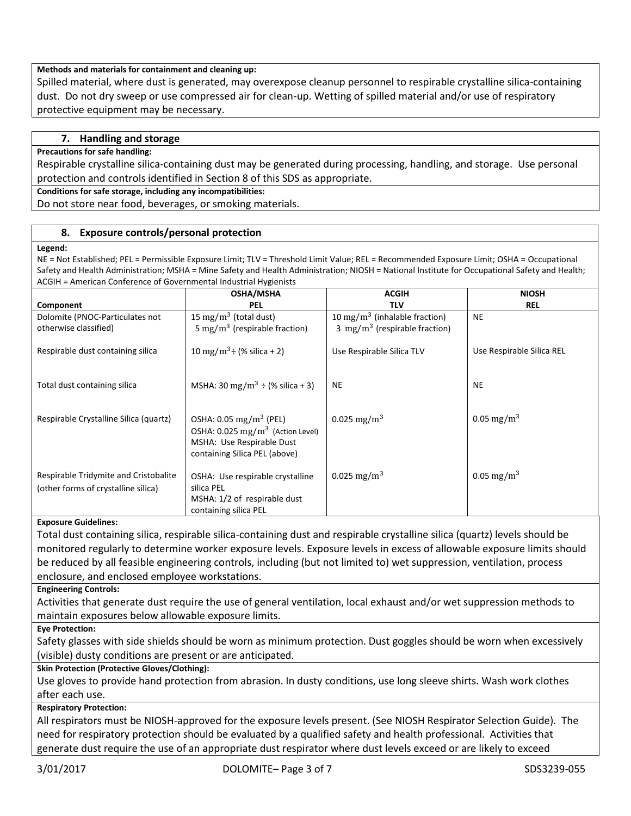### **Methods and materials for containment and cleaning up:**

Spilled material, where dust is generated, may overexpose cleanup personnel to respirable crystalline silica-containing dust. Do not dry sweep or use compressed air for clean-up. Wetting of spilled material and/or use of respiratory protective equipment may be necessary.

# **7. Handling and storage**

#### **Precautions for safe handling:**

Respirable crystalline silica-containing dust may be generated during processing, handling, and storage. Use personal protection and controls identified in Section 8 of this SDS as appropriate.

#### **Conditions for safe storage, including any incompatibilities:**

Do not store near food, beverages, or smoking materials.

#### **8. Exposure controls/personal protection**

#### **Legend:**

NE = Not Established; PEL = Permissible Exposure Limit; TLV = Threshold Limit Value; REL = Recommended Exposure Limit; OSHA = Occupational Safety and Health Administration; MSHA = Mine Safety and Health Administration; NIOSH = National Institute for Occupational Safety and Health; ACGIH = American Conference of Governmental Industrial Hygienists

|                                                                              | <b>OSHA/MSHA</b>                                                                                                                                  | <b>ACGIH</b>                              | <b>NIOSH</b>              |
|------------------------------------------------------------------------------|---------------------------------------------------------------------------------------------------------------------------------------------------|-------------------------------------------|---------------------------|
| Component                                                                    | <b>PEL</b>                                                                                                                                        | <b>TLV</b>                                | <b>REL</b>                |
| Dolomite (PNOC-Particulates not                                              | 15 mg/m <sup>3</sup> (total dust)                                                                                                                 | 10 mg/m <sup>3</sup> (inhalable fraction) | <b>NE</b>                 |
| otherwise classified)                                                        | 5 mg/m <sup>3</sup> (respirable fraction)                                                                                                         | 3 mg/m <sup>3</sup> (respirable fraction) |                           |
| Respirable dust containing silica                                            | 10 mg/m <sup>3</sup> ÷ (% silica + 2)                                                                                                             | Use Respirable Silica TLV                 | Use Respirable Silica REL |
| Total dust containing silica                                                 | MSHA: 30 mg/m <sup>3</sup> ÷ (% silica + 3)                                                                                                       | <b>NE</b>                                 | <b>NE</b>                 |
| Respirable Crystalline Silica (quartz)                                       | OSHA: $0.05 \text{ mg/m}^3$ (PEL)<br>OSHA: $0.025$ mg/m <sup>3</sup> (Action Level)<br>MSHA: Use Respirable Dust<br>containing Silica PEL (above) | 0.025 mg/m <sup>3</sup>                   | 0.05 mg/m <sup>3</sup>    |
| Respirable Tridymite and Cristobalite<br>(other forms of crystalline silica) | OSHA: Use respirable crystalline<br>silica PEL<br>MSHA: 1/2 of respirable dust<br>containing silica PEL                                           | 0.025 mg/m <sup>3</sup>                   | 0.05 mg/m <sup>3</sup>    |

#### **Exposure Guidelines:**

Total dust containing silica, respirable silica-containing dust and respirable crystalline silica (quartz) levels should be monitored regularly to determine worker exposure levels. Exposure levels in excess of allowable exposure limits should be reduced by all feasible engineering controls, including (but not limited to) wet suppression, ventilation, process enclosure, and enclosed employee workstations.

**Engineering Controls:**

Activities that generate dust require the use of general ventilation, local exhaust and/or wet suppression methods to maintain exposures below allowable exposure limits.

**Eye Protection:**

Safety glasses with side shields should be worn as minimum protection. Dust goggles should be worn when excessively (visible) dusty conditions are present or are anticipated.

#### **Skin Protection (Protective Gloves/Clothing):**

Use gloves to provide hand protection from abrasion. In dusty conditions, use long sleeve shirts. Wash work clothes after each use.

# **Respiratory Protection:**

All respirators must be NIOSH-approved for the exposure levels present. (See NIOSH Respirator Selection Guide). The need for respiratory protection should be evaluated by a qualified safety and health professional. Activities that generate dust require the use of an appropriate dust respirator where dust levels exceed or are likely to exceed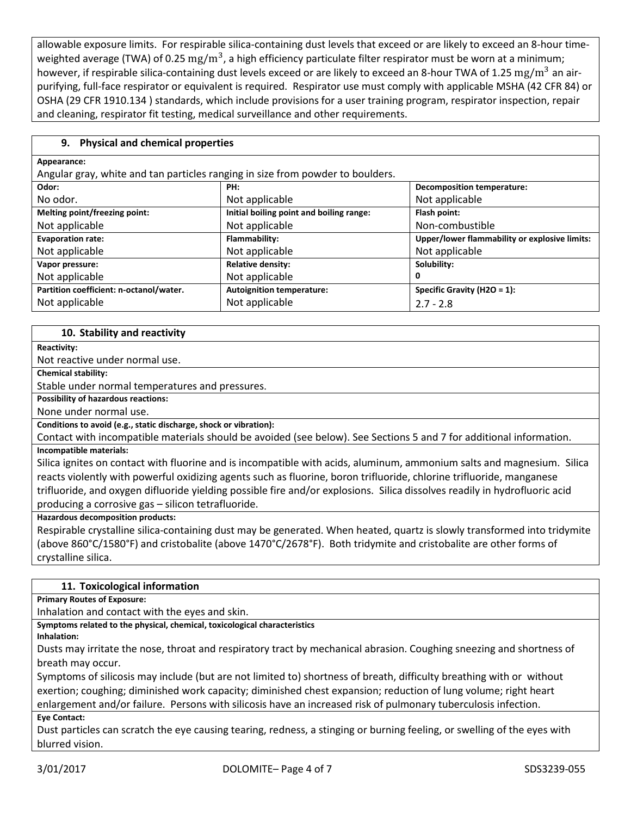allowable exposure limits. For respirable silica-containing dust levels that exceed or are likely to exceed an 8-hour timeweighted average (TWA) of 0.25  $\rm mg/m^3$ , a high efficiency particulate filter respirator must be worn at a minimum; however, if respirable silica-containing dust levels exceed or are likely to exceed an 8-hour TWA of 1.25 mg/m<sup>3</sup> an airpurifying, full-face respirator or equivalent is required. Respirator use must comply with applicable MSHA (42 CFR 84) or OSHA (29 CFR 1910.134 ) standards, which include provisions for a user training program, respirator inspection, repair and cleaning, respirator fit testing, medical surveillance and other requirements.

# **9. Physical and chemical properties**

| Appearance:                                                                    |                                          |                                               |  |
|--------------------------------------------------------------------------------|------------------------------------------|-----------------------------------------------|--|
| Angular gray, white and tan particles ranging in size from powder to boulders. |                                          |                                               |  |
| Odor:                                                                          | PH:                                      | <b>Decomposition temperature:</b>             |  |
| No odor.                                                                       | Not applicable                           | Not applicable                                |  |
| Melting point/freezing point:                                                  | Initial boiling point and boiling range: | Flash point:                                  |  |
| Not applicable                                                                 | Not applicable                           | Non-combustible                               |  |
| <b>Evaporation rate:</b>                                                       | Flammability:                            | Upper/lower flammability or explosive limits: |  |
| Not applicable                                                                 | Not applicable                           | Not applicable                                |  |
| Vapor pressure:                                                                | <b>Relative density:</b>                 | Solubility:                                   |  |
| Not applicable                                                                 | Not applicable                           | 0                                             |  |
| Partition coefficient: n-octanol/water.                                        | <b>Autoignition temperature:</b>         | Specific Gravity (H2O = 1):                   |  |
| Not applicable                                                                 | Not applicable                           | $2.7 - 2.8$                                   |  |

# **10. Stability and reactivity**

#### **Reactivity:**

Not reactive under normal use.

**Chemical stability:**

Stable under normal temperatures and pressures.

**Possibility of hazardous reactions:**

None under normal use.

**Conditions to avoid (e.g., static discharge, shock or vibration):**

Contact with incompatible materials should be avoided (see below). See Sections 5 and 7 for additional information.

# **Incompatible materials:**

Silica ignites on contact with fluorine and is incompatible with acids, aluminum, ammonium salts and magnesium. Silica reacts violently with powerful oxidizing agents such as fluorine, boron trifluoride, chlorine trifluoride, manganese trifluoride, and oxygen difluoride yielding possible fire and/or explosions. Silica dissolves readily in hydrofluoric acid producing a corrosive gas – silicon tetrafluoride.

**Hazardous decomposition products:**

Respirable crystalline silica-containing dust may be generated. When heated, quartz is slowly transformed into tridymite (above 860°C/1580°F) and cristobalite (above 1470°C/2678°F). Both tridymite and cristobalite are other forms of crystalline silica.

#### **11. Toxicological information**

**Primary Routes of Exposure:**

Inhalation and contact with the eyes and skin.

**Symptoms related to the physical, chemical, toxicological characteristics**

**Inhalation:**

Dusts may irritate the nose, throat and respiratory tract by mechanical abrasion. Coughing sneezing and shortness of breath may occur.

Symptoms of silicosis may include (but are not limited to) shortness of breath, difficulty breathing with or without exertion; coughing; diminished work capacity; diminished chest expansion; reduction of lung volume; right heart enlargement and/or failure. Persons with silicosis have an increased risk of pulmonary tuberculosis infection.

**Eye Contact:**

Dust particles can scratch the eye causing tearing, redness, a stinging or burning feeling, or swelling of the eyes with blurred vision.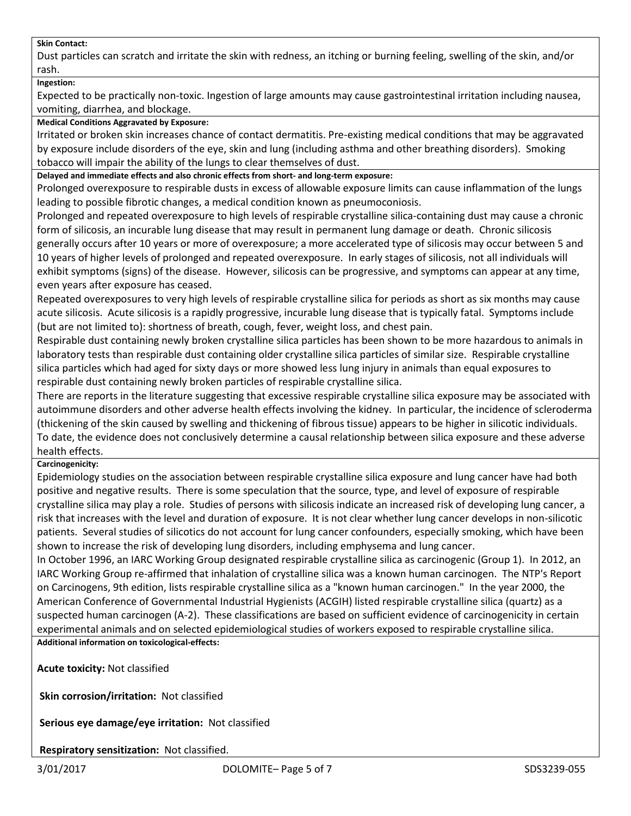#### **Skin Contact:**

Dust particles can scratch and irritate the skin with redness, an itching or burning feeling, swelling of the skin, and/or rash.

#### **Ingestion:**

Expected to be practically non-toxic. Ingestion of large amounts may cause gastrointestinal irritation including nausea, vomiting, diarrhea, and blockage.

#### **Medical Conditions Aggravated by Exposure:**

Irritated or broken skin increases chance of contact dermatitis. Pre-existing medical conditions that may be aggravated by exposure include disorders of the eye, skin and lung (including asthma and other breathing disorders). Smoking tobacco will impair the ability of the lungs to clear themselves of dust.

**Delayed and immediate effects and also chronic effects from short- and long-term exposure:**

Prolonged overexposure to respirable dusts in excess of allowable exposure limits can cause inflammation of the lungs leading to possible fibrotic changes, a medical condition known as pneumoconiosis.

Prolonged and repeated overexposure to high levels of respirable crystalline silica-containing dust may cause a chronic form of silicosis, an incurable lung disease that may result in permanent lung damage or death. Chronic silicosis generally occurs after 10 years or more of overexposure; a more accelerated type of silicosis may occur between 5 and 10 years of higher levels of prolonged and repeated overexposure. In early stages of silicosis, not all individuals will exhibit symptoms (signs) of the disease. However, silicosis can be progressive, and symptoms can appear at any time, even years after exposure has ceased.

Repeated overexposures to very high levels of respirable crystalline silica for periods as short as six months may cause acute silicosis. Acute silicosis is a rapidly progressive, incurable lung disease that is typically fatal. Symptoms include (but are not limited to): shortness of breath, cough, fever, weight loss, and chest pain.

Respirable dust containing newly broken crystalline silica particles has been shown to be more hazardous to animals in laboratory tests than respirable dust containing older crystalline silica particles of similar size. Respirable crystalline silica particles which had aged for sixty days or more showed less lung injury in animals than equal exposures to respirable dust containing newly broken particles of respirable crystalline silica.

There are reports in the literature suggesting that excessive respirable crystalline silica exposure may be associated with autoimmune disorders and other adverse health effects involving the kidney. In particular, the incidence of scleroderma (thickening of the skin caused by swelling and thickening of fibrous tissue) appears to be higher in silicotic individuals. To date, the evidence does not conclusively determine a causal relationship between silica exposure and these adverse health effects.

#### **Carcinogenicity:**

Epidemiology studies on the association between respirable crystalline silica exposure and lung cancer have had both positive and negative results. There is some speculation that the source, type, and level of exposure of respirable crystalline silica may play a role. Studies of persons with silicosis indicate an increased risk of developing lung cancer, a risk that increases with the level and duration of exposure. It is not clear whether lung cancer develops in non-silicotic patients. Several studies of silicotics do not account for lung cancer confounders, especially smoking, which have been shown to increase the risk of developing lung disorders, including emphysema and lung cancer.

In October 1996, an IARC Working Group designated respirable crystalline silica as carcinogenic (Group 1). In 2012, an IARC Working Group re-affirmed that inhalation of crystalline silica was a known human carcinogen. The NTP's Report on Carcinogens, 9th edition, lists respirable crystalline silica as a "known human carcinogen." In the year 2000, the American Conference of Governmental Industrial Hygienists (ACGIH) listed respirable crystalline silica (quartz) as a suspected human carcinogen (A-2). These classifications are based on sufficient evidence of carcinogenicity in certain experimental animals and on selected epidemiological studies of workers exposed to respirable crystalline silica. **Additional information on toxicological-effects:**

**Acute toxicity:** Not classified

**Skin corrosion/irritation:** Not classified

**Serious eye damage/eye irritation:** Not classified

**Respiratory sensitization:** Not classified.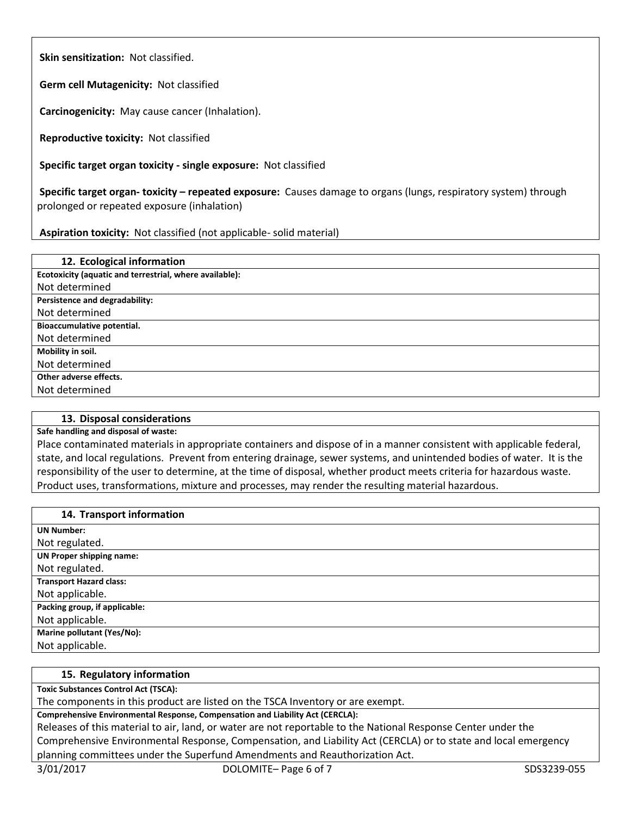**Skin sensitization:** Not classified.

**Germ cell Mutagenicity:** Not classified

**Carcinogenicity:** May cause cancer (Inhalation).

**Reproductive toxicity:** Not classified

**Specific target organ toxicity - single exposure:** Not classified

**Specific target organ- toxicity – repeated exposure:** Causes damage to organs (lungs, respiratory system) through prolonged or repeated exposure (inhalation)

# **Aspiration toxicity:** Not classified (not applicable- solid material)

| 12. Ecological information                              |
|---------------------------------------------------------|
| Ecotoxicity (aquatic and terrestrial, where available): |
| Not determined                                          |
| Persistence and degradability:                          |
| Not determined                                          |
| Bioaccumulative potential.                              |
| Not determined                                          |
| Mobility in soil.                                       |
| Not determined                                          |
| Other adverse effects.                                  |
| Not determined                                          |

# **13. Disposal considerations**

**Safe handling and disposal of waste:**

Place contaminated materials in appropriate containers and dispose of in a manner consistent with applicable federal, state, and local regulations. Prevent from entering drainage, sewer systems, and unintended bodies of water. It is the responsibility of the user to determine, at the time of disposal, whether product meets criteria for hazardous waste. Product uses, transformations, mixture and processes, may render the resulting material hazardous.

#### **14. Transport information**

| <b>UN Number:</b>              |
|--------------------------------|
| Not regulated.                 |
| UN Proper shipping name:       |
| Not regulated.                 |
| <b>Transport Hazard class:</b> |
| Not applicable.                |
| Packing group, if applicable:  |
| Not applicable.                |
| Marine pollutant (Yes/No):     |
| Not applicable.                |

# **15. Regulatory information**

**Toxic Substances Control Act (TSCA):**

The components in this product are listed on the TSCA Inventory or are exempt.

**Comprehensive Environmental Response, Compensation and Liability Act (CERCLA):**

Releases of this material to air, land, or water are not reportable to the National Response Center under the Comprehensive Environmental Response, Compensation, and Liability Act (CERCLA) or to state and local emergency planning committees under the Superfund Amendments and Reauthorization Act.